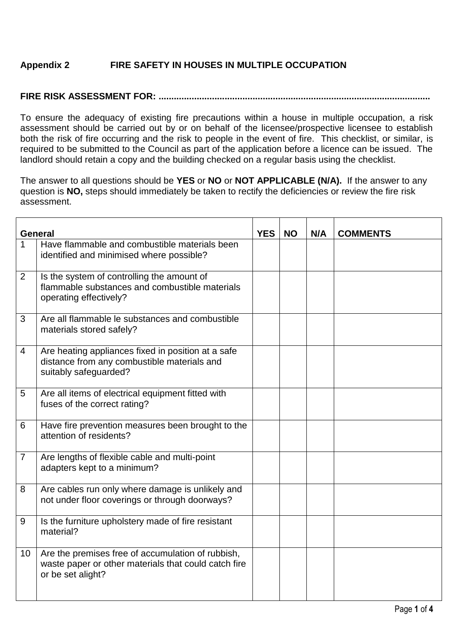## **Appendix 2 FIRE SAFETY IN HOUSES IN MULTIPLE OCCUPATION**

## **FIRE RISK ASSESSMENT FOR: ...........................................................................................................**

To ensure the adequacy of existing fire precautions within a house in multiple occupation, a risk assessment should be carried out by or on behalf of the licensee/prospective licensee to establish both the risk of fire occurring and the risk to people in the event of fire. This checklist, or similar, is required to be submitted to the Council as part of the application before a licence can be issued. The landlord should retain a copy and the building checked on a regular basis using the checklist.

The answer to all questions should be **YES** or **NO** or **NOT APPLICABLE (N/A).** If the answer to any question is **NO,** steps should immediately be taken to rectify the deficiencies or review the fire risk assessment.

| General        |                                                                                                                                | <b>YES</b> | <b>NO</b> | N/A | <b>COMMENTS</b> |
|----------------|--------------------------------------------------------------------------------------------------------------------------------|------------|-----------|-----|-----------------|
| 1              | Have flammable and combustible materials been<br>identified and minimised where possible?                                      |            |           |     |                 |
| 2              | Is the system of controlling the amount of<br>flammable substances and combustible materials<br>operating effectively?         |            |           |     |                 |
| 3              | Are all flammable le substances and combustible<br>materials stored safely?                                                    |            |           |     |                 |
| 4              | Are heating appliances fixed in position at a safe<br>distance from any combustible materials and<br>suitably safeguarded?     |            |           |     |                 |
| 5              | Are all items of electrical equipment fitted with<br>fuses of the correct rating?                                              |            |           |     |                 |
| 6              | Have fire prevention measures been brought to the<br>attention of residents?                                                   |            |           |     |                 |
| $\overline{7}$ | Are lengths of flexible cable and multi-point<br>adapters kept to a minimum?                                                   |            |           |     |                 |
| 8              | Are cables run only where damage is unlikely and<br>not under floor coverings or through doorways?                             |            |           |     |                 |
| 9              | Is the furniture upholstery made of fire resistant<br>material?                                                                |            |           |     |                 |
| 10             | Are the premises free of accumulation of rubbish,<br>waste paper or other materials that could catch fire<br>or be set alight? |            |           |     |                 |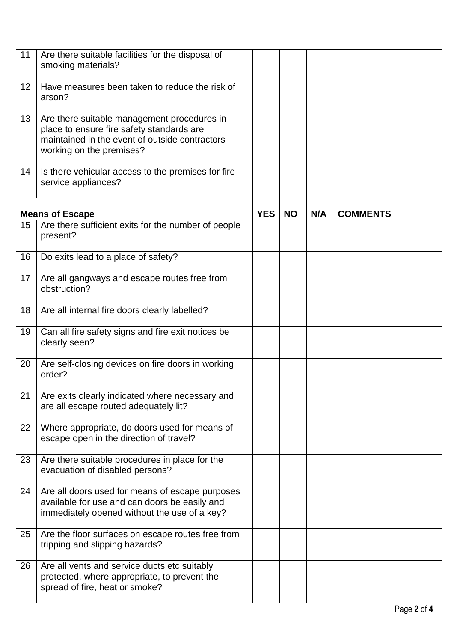| 11 | Are there suitable facilities for the disposal of<br>smoking materials?                                                                                                |            |           |     |                 |
|----|------------------------------------------------------------------------------------------------------------------------------------------------------------------------|------------|-----------|-----|-----------------|
| 12 | Have measures been taken to reduce the risk of<br>arson?                                                                                                               |            |           |     |                 |
| 13 | Are there suitable management procedures in<br>place to ensure fire safety standards are<br>maintained in the event of outside contractors<br>working on the premises? |            |           |     |                 |
| 14 | Is there vehicular access to the premises for fire<br>service appliances?                                                                                              |            |           |     |                 |
|    | <b>Means of Escape</b>                                                                                                                                                 | <b>YES</b> | <b>NO</b> | N/A | <b>COMMENTS</b> |
| 15 | Are there sufficient exits for the number of people<br>present?                                                                                                        |            |           |     |                 |
| 16 | Do exits lead to a place of safety?                                                                                                                                    |            |           |     |                 |
| 17 | Are all gangways and escape routes free from<br>obstruction?                                                                                                           |            |           |     |                 |
| 18 | Are all internal fire doors clearly labelled?                                                                                                                          |            |           |     |                 |
| 19 | Can all fire safety signs and fire exit notices be<br>clearly seen?                                                                                                    |            |           |     |                 |
| 20 | Are self-closing devices on fire doors in working<br>order?                                                                                                            |            |           |     |                 |
| 21 | Are exits clearly indicated where necessary and<br>are all escape routed adequately lit?                                                                               |            |           |     |                 |
| 22 | Where appropriate, do doors used for means of<br>escape open in the direction of travel?                                                                               |            |           |     |                 |
| 23 | Are there suitable procedures in place for the<br>evacuation of disabled persons?                                                                                      |            |           |     |                 |
| 24 | Are all doors used for means of escape purposes<br>available for use and can doors be easily and<br>immediately opened without the use of a key?                       |            |           |     |                 |
| 25 | Are the floor surfaces on escape routes free from<br>tripping and slipping hazards?                                                                                    |            |           |     |                 |
| 26 | Are all vents and service ducts etc suitably<br>protected, where appropriate, to prevent the<br>spread of fire, heat or smoke?                                         |            |           |     |                 |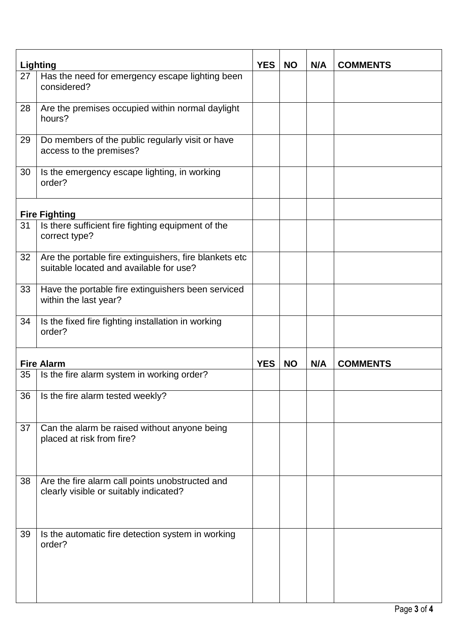| <b>Lighting</b> |                                                                                                   | <b>YES</b> | <b>NO</b> | N/A | <b>COMMENTS</b> |
|-----------------|---------------------------------------------------------------------------------------------------|------------|-----------|-----|-----------------|
| 27              | Has the need for emergency escape lighting been<br>considered?                                    |            |           |     |                 |
| 28              | Are the premises occupied within normal daylight<br>hours?                                        |            |           |     |                 |
| 29              | Do members of the public regularly visit or have<br>access to the premises?                       |            |           |     |                 |
| 30              | Is the emergency escape lighting, in working<br>order?                                            |            |           |     |                 |
|                 | <b>Fire Fighting</b>                                                                              |            |           |     |                 |
| 31              | Is there sufficient fire fighting equipment of the<br>correct type?                               |            |           |     |                 |
| 32              | Are the portable fire extinguishers, fire blankets etc<br>suitable located and available for use? |            |           |     |                 |
| 33              | Have the portable fire extinguishers been serviced<br>within the last year?                       |            |           |     |                 |
| 34              | Is the fixed fire fighting installation in working<br>order?                                      |            |           |     |                 |
|                 | <b>Fire Alarm</b>                                                                                 | <b>YES</b> | <b>NO</b> | N/A | <b>COMMENTS</b> |
| 35              | Is the fire alarm system in working order?                                                        |            |           |     |                 |
| 36              | Is the fire alarm tested weekly?                                                                  |            |           |     |                 |
| 37              | Can the alarm be raised without anyone being<br>placed at risk from fire?                         |            |           |     |                 |
| 38              | Are the fire alarm call points unobstructed and<br>clearly visible or suitably indicated?         |            |           |     |                 |
| 39              | Is the automatic fire detection system in working<br>order?                                       |            |           |     |                 |